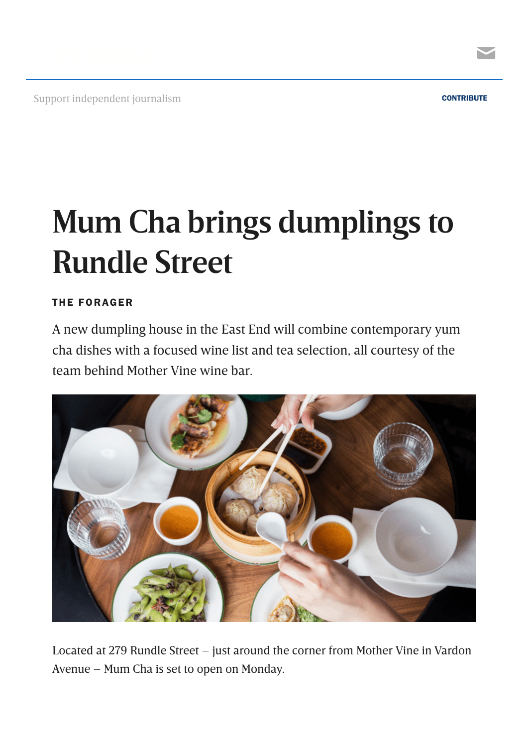

Support independent journalism [CONTRIBUTE](https://indaily.com.au/support-indaily/?utm_source=website%20header&utm_medium=press%20patron&utm_campaign=contribute%20blue) CONTRIBUTE



## **Mum Cha brings dumplings to Rundle Street**

## THE [FORAGER](https://indaily.com.au/eat-drink-explore/the-forager/)

A new dumpling house in the East End will combine contemporary yum cha dishes with a focused wine list and tea selection, all courtesy of the team behind Mother Vine wine bar.



Located at 279 Rundle Street – just around the corner from Mother Vine in Vardon Avenue – Mum Cha is set to open on Monday.

 $\blacktriangleright$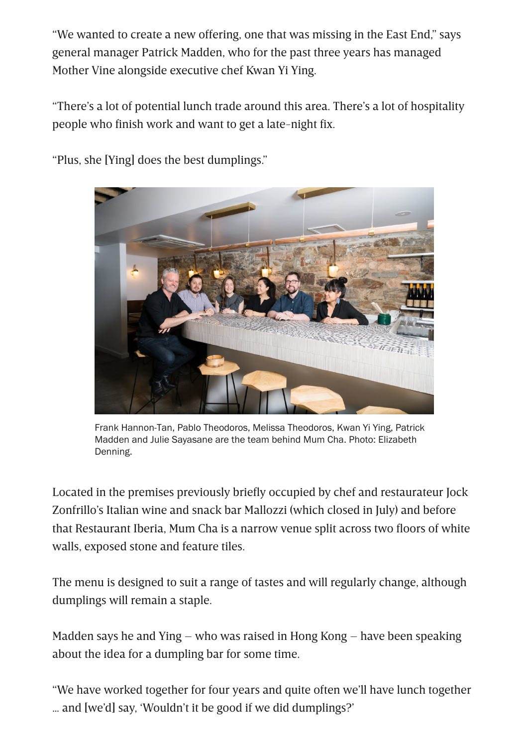"We wanted to create a new offering, one that was missing in the East End," says general manager Patrick Madden, who for the past three years has managed Mother Vine alongside executive chef Kwan Yi Ying.

"There's a lot of potential lunch trade around this area. There's a lot of hospitality people who finish work and want to get a late-night fix.



"Plus, she [Ying] does the best dumplings."

Frank Hannon-Tan, Pablo Theodoros, Melissa Theodoros, Kwan Yi Ying, Patrick Madden and Julie Sayasane are the team behind Mum Cha. Photo: Elizabeth Denning.

Located in the premises previously briefly occupied by chef and restaurateur Jock Zonfrillo's Italian wine and snack bar Mallozzi (which closed in July) and before that Restaurant Iberia, Mum Cha is a narrow venue split across two floors of white walls, exposed stone and feature tiles.

The menu is designed to suit a range of tastes and will regularly change, although dumplings will remain a staple.

Madden says he and Ying – who was raised in Hong Kong – have been speaking about the idea for a dumpling bar for some time.

"We have worked together for four years and quite often we'll have lunch together … and [we'd] say, 'Wouldn't it be good if we did dumplings?'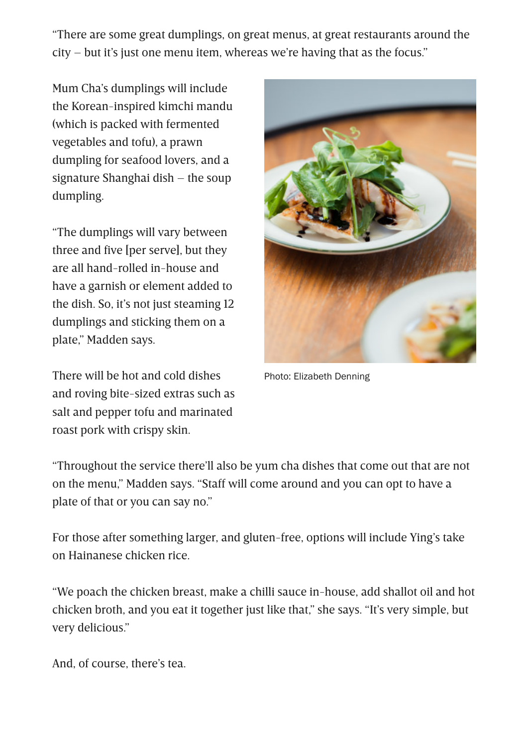"There are some great dumplings, on great menus, at great restaurants around the city – but it's just one menu item, whereas we're having that as the focus."

Mum Cha's dumplings will include the Korean-inspired kimchi mandu (which is packed with fermented vegetables and tofu), a prawn dumpling for seafood lovers, and a signature Shanghai dish – the soup dumpling.

"The dumplings will vary between three and five [per serve], but they are all hand-rolled in-house and have a garnish or element added to the dish. So, it's not just steaming 12 dumplings and sticking them on a plate," Madden says.

There will be hot and cold dishes and roving bite-sized extras such as salt and pepper tofu and marinated roast pork with crispy skin.



Photo: Elizabeth Denning

"Throughout the service there'll also be yum cha dishes that come out that are not on the menu," Madden says. "Staff will come around and you can opt to have a plate of that or you can say no."

For those after something larger, and gluten-free, options will include Ying's take on Hainanese chicken rice.

"We poach the chicken breast, make a chilli sauce in-house, add shallot oil and hot chicken broth, and you eat it together just like that," she says. "It's very simple, but very delicious."

And, of course, there's tea.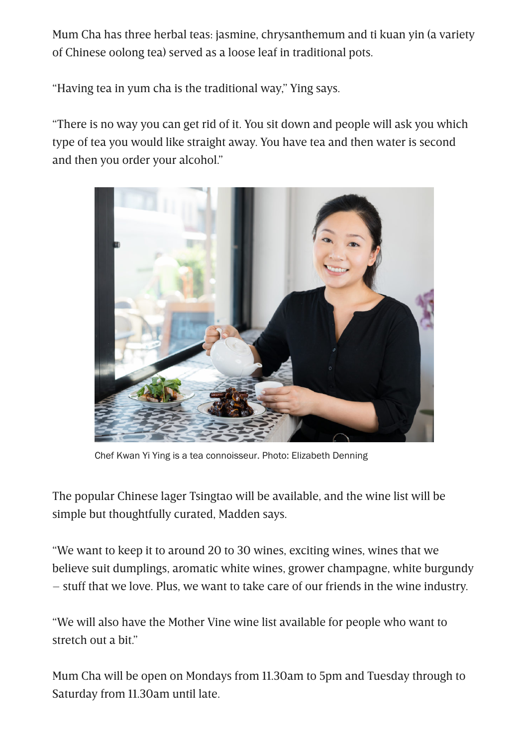Mum Cha has three herbal teas: jasmine, chrysanthemum and ti kuan yin (a variety of Chinese oolong tea) served as a loose leaf in traditional pots.

"Having tea in yum cha is the traditional way," Ying says.

"There is no way you can get rid of it. You sit down and people will ask you which type of tea you would like straight away. You have tea and then water is second and then you order your alcohol."



Chef Kwan Yi Ying is a tea connoisseur. Photo: Elizabeth Denning

The popular Chinese lager Tsingtao will be available, and the wine list will be simple but thoughtfully curated, Madden says.

"We want to keep it to around 20 to 30 wines, exciting wines, wines that we believe suit dumplings, aromatic white wines, grower champagne, white burgundy – stuff that we love. Plus, we want to take care of our friends in the wine industry.

"We will also have the Mother Vine wine list available for people who want to stretch out a bit."

Mum Cha will be open on Mondays from 11.30am to 5pm and Tuesday through to Saturday from 11.30am until late.